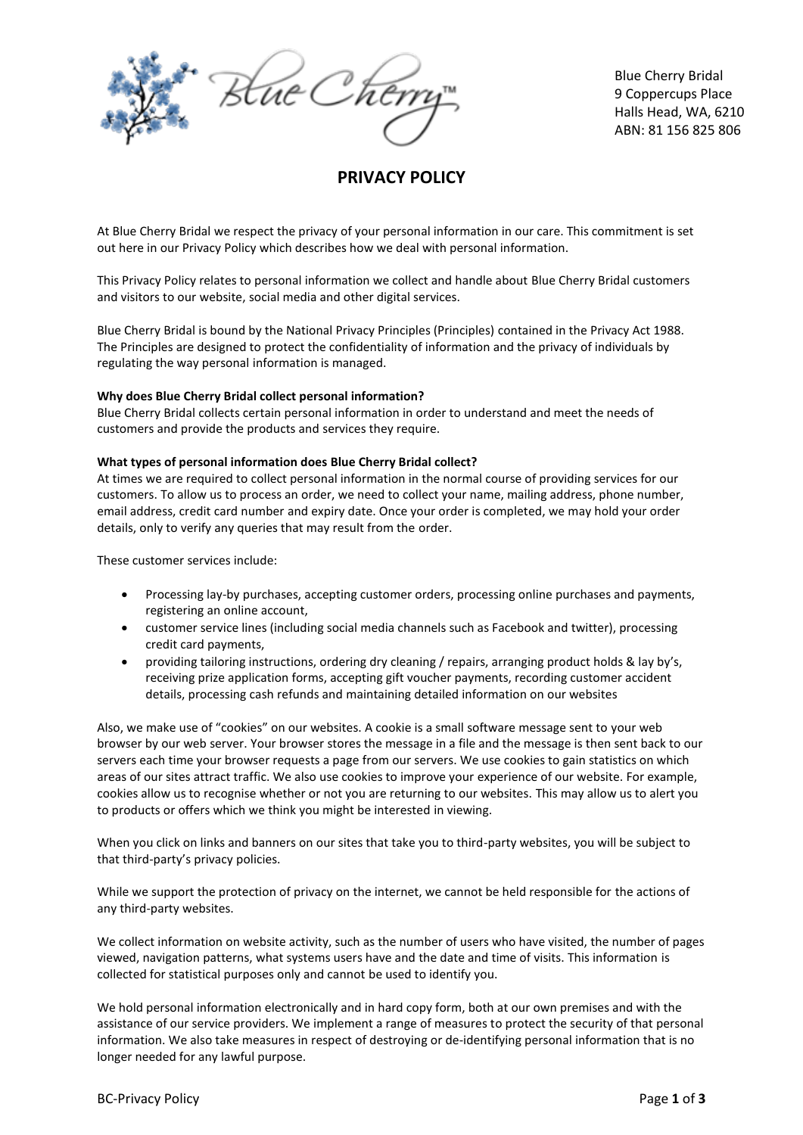

Blue Cherry Bridal 9 Coppercups Place Halls Head, WA, 6210 ABN: 81 156 825 806

# **PRIVACY POLICY**

At Blue Cherry Bridal we respect the privacy of your personal information in our care. This commitment is set out here in our Privacy Policy which describes how we deal with personal information.

This Privacy Policy relates to personal information we collect and handle about Blue Cherry Bridal customers and visitors to our website, social media and other digital services.

Blue Cherry Bridal is bound by the National Privacy Principles (Principles) contained in the Privacy Act 1988. The Principles are designed to protect the confidentiality of information and the privacy of individuals by regulating the way personal information is managed.

### **Why does Blue Cherry Bridal collect personal information?**

Blue Cherry Bridal collects certain personal information in order to understand and meet the needs of customers and provide the products and services they require.

### **What types of personal information does Blue Cherry Bridal collect?**

At times we are required to collect personal information in the normal course of providing services for our customers. To allow us to process an order, we need to collect your name, mailing address, phone number, email address, credit card number and expiry date. Once your order is completed, we may hold your order details, only to verify any queries that may result from the order.

These customer services include:

- Processing lay-by purchases, accepting customer orders, processing online purchases and payments, registering an online account,
- customer service lines (including social media channels such as Facebook and twitter), processing credit card payments,
- providing tailoring instructions, ordering dry cleaning / repairs, arranging product holds & lay by's, receiving prize application forms, accepting gift voucher payments, recording customer accident details, processing cash refunds and maintaining detailed information on our websites

Also, we make use of "cookies" on our websites. A cookie is a small software message sent to your web browser by our web server. Your browser stores the message in a file and the message is then sent back to our servers each time your browser requests a page from our servers. We use cookies to gain statistics on which areas of our sites attract traffic. We also use cookies to improve your experience of our website. For example, cookies allow us to recognise whether or not you are returning to our websites. This may allow us to alert you to products or offers which we think you might be interested in viewing.

When you click on links and banners on our sites that take you to third-party websites, you will be subject to that third-party's privacy policies.

While we support the protection of privacy on the internet, we cannot be held responsible for the actions of any third-party websites.

We collect information on website activity, such as the number of users who have visited, the number of pages viewed, navigation patterns, what systems users have and the date and time of visits. This information is collected for statistical purposes only and cannot be used to identify you.

We hold personal information electronically and in hard copy form, both at our own premises and with the assistance of our service providers. We implement a range of measures to protect the security of that personal information. We also take measures in respect of destroying or de-identifying personal information that is no longer needed for any lawful purpose.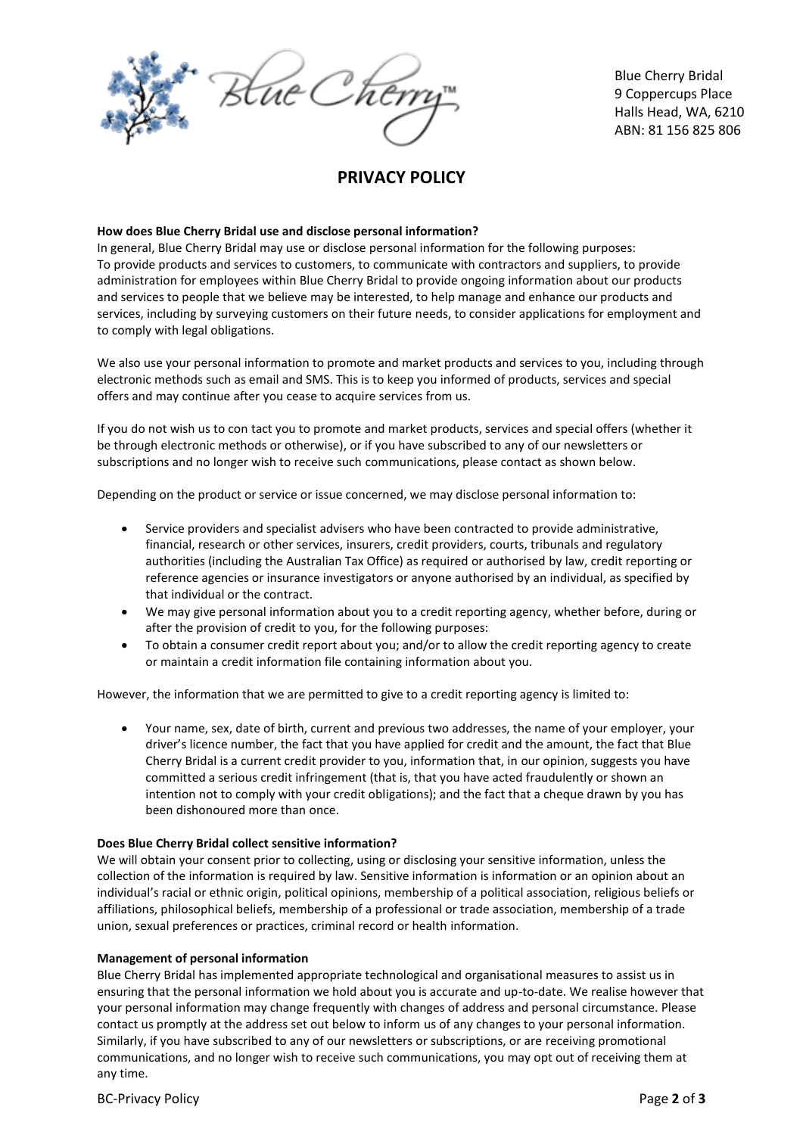

Blue Cherry Bridal 9 Coppercups Place Halls Head, WA, 6210 ABN: 81 156 825 806

## **PRIVACY POLICY**

### **How does Blue Cherry Bridal use and disclose personal information?**

In general, Blue Cherry Bridal may use or disclose personal information for the following purposes: To provide products and services to customers, to communicate with contractors and suppliers, to provide administration for employees within Blue Cherry Bridal to provide ongoing information about our products and services to people that we believe may be interested, to help manage and enhance our products and services, including by surveying customers on their future needs, to consider applications for employment and to comply with legal obligations.

We also use your personal information to promote and market products and services to you, including through electronic methods such as email and SMS. This is to keep you informed of products, services and special offers and may continue after you cease to acquire services from us.

If you do not wish us to con tact you to promote and market products, services and special offers (whether it be through electronic methods or otherwise), or if you have subscribed to any of our newsletters or subscriptions and no longer wish to receive such communications, please contact as shown below.

Depending on the product or service or issue concerned, we may disclose personal information to:

- Service providers and specialist advisers who have been contracted to provide administrative, financial, research or other services, insurers, credit providers, courts, tribunals and regulatory authorities (including the Australian Tax Office) as required or authorised by law, credit reporting or reference agencies or insurance investigators or anyone authorised by an individual, as specified by that individual or the contract.
- We may give personal information about you to a credit reporting agency, whether before, during or after the provision of credit to you, for the following purposes:
- To obtain a consumer credit report about you; and/or to allow the credit reporting agency to create or maintain a credit information file containing information about you.

However, the information that we are permitted to give to a credit reporting agency is limited to:

 Your name, sex, date of birth, current and previous two addresses, the name of your employer, your driver's licence number, the fact that you have applied for credit and the amount, the fact that Blue Cherry Bridal is a current credit provider to you, information that, in our opinion, suggests you have committed a serious credit infringement (that is, that you have acted fraudulently or shown an intention not to comply with your credit obligations); and the fact that a cheque drawn by you has been dishonoured more than once.

### **Does Blue Cherry Bridal collect sensitive information?**

We will obtain your consent prior to collecting, using or disclosing your sensitive information, unless the collection of the information is required by law. Sensitive information is information or an opinion about an individual's racial or ethnic origin, political opinions, membership of a political association, religious beliefs or affiliations, philosophical beliefs, membership of a professional or trade association, membership of a trade union, sexual preferences or practices, criminal record or health information.

### **Management of personal information**

Blue Cherry Bridal has implemented appropriate technological and organisational measures to assist us in ensuring that the personal information we hold about you is accurate and up-to-date. We realise however that your personal information may change frequently with changes of address and personal circumstance. Please contact us promptly at the address set out below to inform us of any changes to your personal information. Similarly, if you have subscribed to any of our newsletters or subscriptions, or are receiving promotional communications, and no longer wish to receive such communications, you may opt out of receiving them at any time.